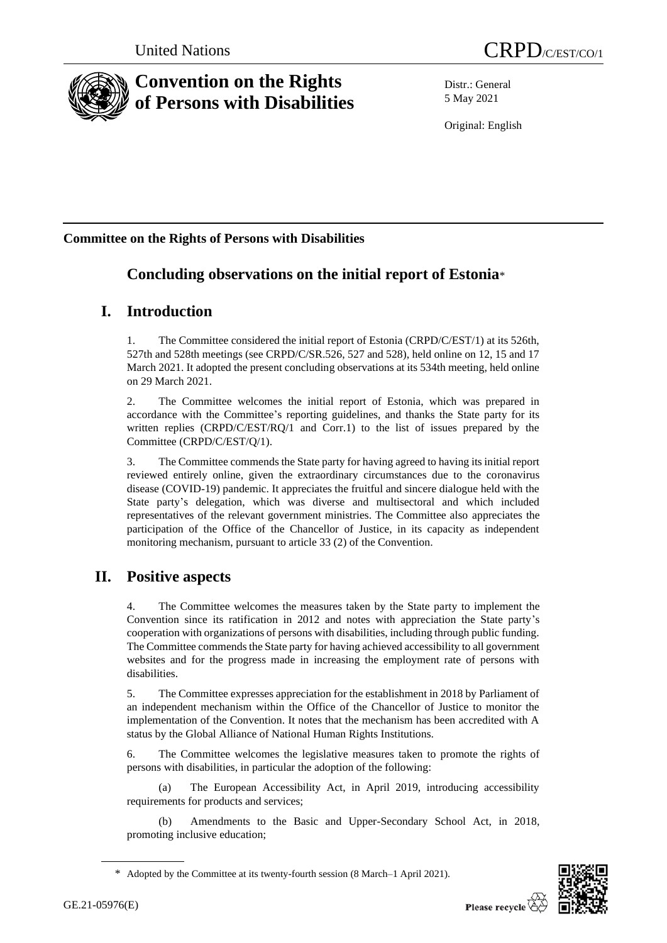



# **Convention on the Rights of Persons with Disabilities**

Distr.: General 5 May 2021

Original: English

## **Committee on the Rights of Persons with Disabilities**

# **Concluding observations on the initial report of Estonia**\*

# **I. Introduction**

1. The Committee considered the initial report of Estonia (CRPD/C/EST/1) at its 526th, 527th and 528th meetings (see CRPD/C/SR.526, 527 and 528), held online on 12, 15 and 17 March 2021. It adopted the present concluding observations at its 534th meeting, held online on 29 March 2021.

2. The Committee welcomes the initial report of Estonia, which was prepared in accordance with the Committee's reporting guidelines, and thanks the State party for its written replies (CRPD/C/EST/RQ/1 and Corr.1) to the list of issues prepared by the Committee (CRPD/C/EST/Q/1).

3. The Committee commends the State party for having agreed to having its initial report reviewed entirely online, given the extraordinary circumstances due to the coronavirus disease (COVID-19) pandemic. It appreciates the fruitful and sincere dialogue held with the State party's delegation, which was diverse and multisectoral and which included representatives of the relevant government ministries. The Committee also appreciates the participation of the Office of the Chancellor of Justice, in its capacity as independent monitoring mechanism, pursuant to article 33 (2) of the Convention.

# **II. Positive aspects**

4. The Committee welcomes the measures taken by the State party to implement the Convention since its ratification in 2012 and notes with appreciation the State party's cooperation with organizations of persons with disabilities, including through public funding. The Committee commends the State party for having achieved accessibility to all government websites and for the progress made in increasing the employment rate of persons with disabilities.

5. The Committee expresses appreciation for the establishment in 2018 by Parliament of an independent mechanism within the Office of the Chancellor of Justice to monitor the implementation of the Convention. It notes that the mechanism has been accredited with A status by the Global Alliance of National Human Rights Institutions.

6. The Committee welcomes the legislative measures taken to promote the rights of persons with disabilities, in particular the adoption of the following:

(a) The European Accessibility Act, in April 2019, introducing accessibility requirements for products and services;

(b) Amendments to the Basic and Upper-Secondary School Act, in 2018, promoting inclusive education;



<sup>\*</sup> Adopted by the Committee at its twenty-fourth session (8 March–1 April 2021).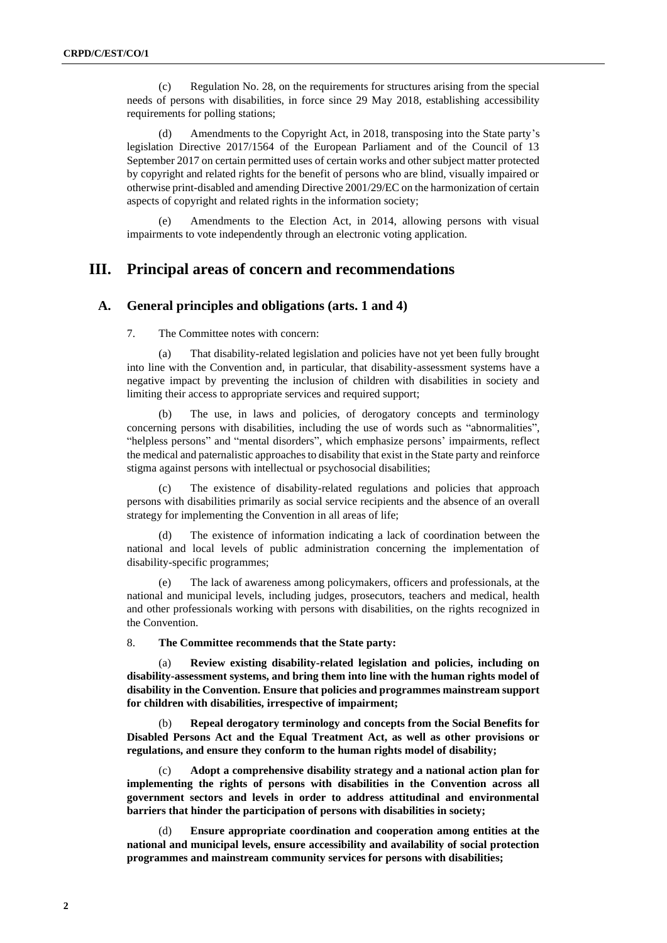(c) Regulation No. 28, on the requirements for structures arising from the special needs of persons with disabilities, in force since 29 May 2018, establishing accessibility requirements for polling stations;

(d) Amendments to the Copyright Act, in 2018, transposing into the State party's legislation Directive 2017/1564 of the European Parliament and of the Council of 13 September 2017 on certain permitted uses of certain works and other subject matter protected by copyright and related rights for the benefit of persons who are blind, visually impaired or otherwise print-disabled and amending Directive 2001/29/EC on the harmonization of certain aspects of copyright and related rights in the information society;

(e) Amendments to the Election Act, in 2014, allowing persons with visual impairments to vote independently through an electronic voting application.

## **III. Principal areas of concern and recommendations**

## **A. General principles and obligations (arts. 1 and 4)**

7. The Committee notes with concern:

(a) That disability-related legislation and policies have not yet been fully brought into line with the Convention and, in particular, that disability-assessment systems have a negative impact by preventing the inclusion of children with disabilities in society and limiting their access to appropriate services and required support;

The use, in laws and policies, of derogatory concepts and terminology concerning persons with disabilities, including the use of words such as "abnormalities", "helpless persons" and "mental disorders", which emphasize persons' impairments, reflect the medical and paternalistic approaches to disability that exist in the State party and reinforce stigma against persons with intellectual or psychosocial disabilities;

(c) The existence of disability-related regulations and policies that approach persons with disabilities primarily as social service recipients and the absence of an overall strategy for implementing the Convention in all areas of life;

(d) The existence of information indicating a lack of coordination between the national and local levels of public administration concerning the implementation of disability-specific programmes;

(e) The lack of awareness among policymakers, officers and professionals, at the national and municipal levels, including judges, prosecutors, teachers and medical, health and other professionals working with persons with disabilities, on the rights recognized in the Convention.

8. **The Committee recommends that the State party:**

Review existing disability-related legislation and policies, including on **disability-assessment systems, and bring them into line with the human rights model of disability in the Convention. Ensure that policies and programmes mainstream support for children with disabilities, irrespective of impairment;**

(b) **Repeal derogatory terminology and concepts from the Social Benefits for Disabled Persons Act and the Equal Treatment Act, as well as other provisions or regulations, and ensure they conform to the human rights model of disability;** 

(c) **Adopt a comprehensive disability strategy and a national action plan for implementing the rights of persons with disabilities in the Convention across all government sectors and levels in order to address attitudinal and environmental barriers that hinder the participation of persons with disabilities in society;** 

(d) **Ensure appropriate coordination and cooperation among entities at the national and municipal levels, ensure accessibility and availability of social protection programmes and mainstream community services for persons with disabilities;**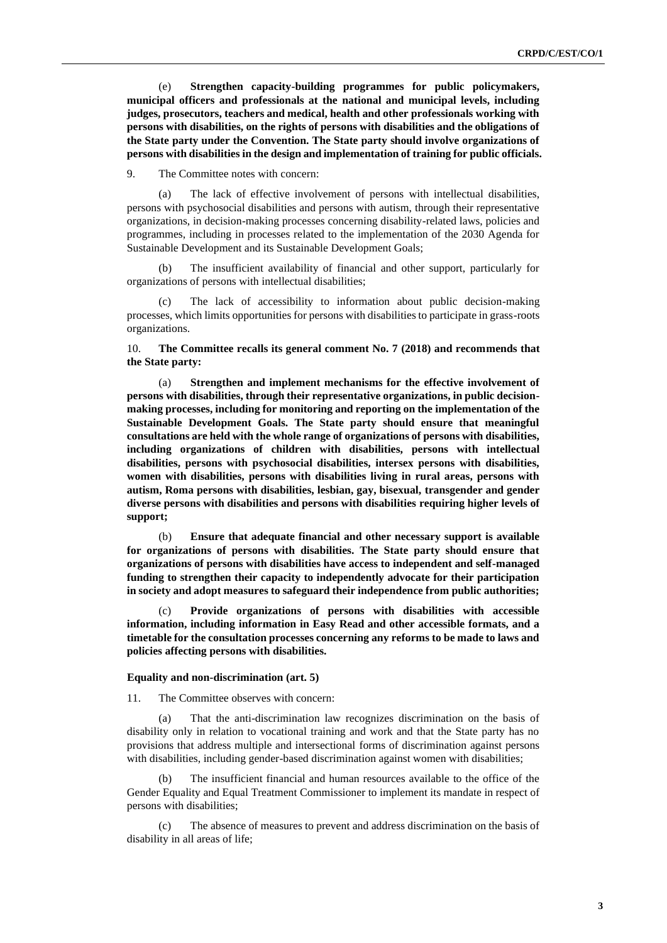(e) **Strengthen capacity-building programmes for public policymakers, municipal officers and professionals at the national and municipal levels, including judges, prosecutors, teachers and medical, health and other professionals working with persons with disabilities, on the rights of persons with disabilities and the obligations of the State party under the Convention. The State party should involve organizations of persons with disabilities in the design and implementation of training for public officials.**

9. The Committee notes with concern:

(a) The lack of effective involvement of persons with intellectual disabilities, persons with psychosocial disabilities and persons with autism, through their representative organizations, in decision-making processes concerning disability-related laws, policies and programmes, including in processes related to the implementation of the 2030 Agenda for Sustainable Development and its Sustainable Development Goals;

(b) The insufficient availability of financial and other support, particularly for organizations of persons with intellectual disabilities;

(c) The lack of accessibility to information about public decision-making processes, which limits opportunities for persons with disabilities to participate in grass-roots organizations.

10. **The Committee recalls its general comment No. 7 (2018) and recommends that the State party:**

(a) **Strengthen and implement mechanisms for the effective involvement of persons with disabilities, through their representative organizations, in public decisionmaking processes, including for monitoring and reporting on the implementation of the Sustainable Development Goals. The State party should ensure that meaningful consultations are held with the whole range of organizations of persons with disabilities, including organizations of children with disabilities, persons with intellectual disabilities, persons with psychosocial disabilities, intersex persons with disabilities, women with disabilities, persons with disabilities living in rural areas, persons with autism, Roma persons with disabilities, lesbian, gay, bisexual, transgender and gender diverse persons with disabilities and persons with disabilities requiring higher levels of support;**

(b) **Ensure that adequate financial and other necessary support is available for organizations of persons with disabilities. The State party should ensure that organizations of persons with disabilities have access to independent and self-managed funding to strengthen their capacity to independently advocate for their participation in society and adopt measures to safeguard their independence from public authorities;** 

(c) **Provide organizations of persons with disabilities with accessible information, including information in Easy Read and other accessible formats, and a timetable for the consultation processes concerning any reforms to be made to laws and policies affecting persons with disabilities.**

#### **Equality and non-discrimination (art. 5)**

11. The Committee observes with concern:

(a) That the anti-discrimination law recognizes discrimination on the basis of disability only in relation to vocational training and work and that the State party has no provisions that address multiple and intersectional forms of discrimination against persons with disabilities, including gender-based discrimination against women with disabilities;

The insufficient financial and human resources available to the office of the Gender Equality and Equal Treatment Commissioner to implement its mandate in respect of persons with disabilities;

The absence of measures to prevent and address discrimination on the basis of disability in all areas of life;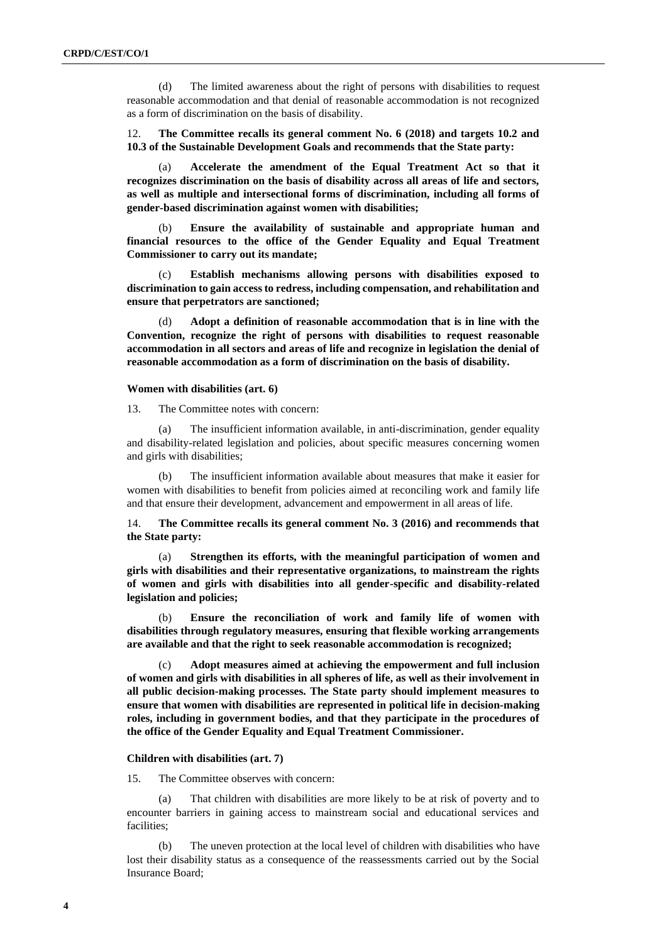(d) The limited awareness about the right of persons with disabilities to request reasonable accommodation and that denial of reasonable accommodation is not recognized as a form of discrimination on the basis of disability.

12. **The Committee recalls its general comment No. 6 (2018) and targets 10.2 and 10.3 of the Sustainable Development Goals and recommends that the State party:**

(a) **Accelerate the amendment of the Equal Treatment Act so that it recognizes discrimination on the basis of disability across all areas of life and sectors, as well as multiple and intersectional forms of discrimination, including all forms of gender-based discrimination against women with disabilities;**

(b) **Ensure the availability of sustainable and appropriate human and financial resources to the office of the Gender Equality and Equal Treatment Commissioner to carry out its mandate;**

(c) **Establish mechanisms allowing persons with disabilities exposed to discrimination to gain access to redress, including compensation, and rehabilitation and ensure that perpetrators are sanctioned;**

(d) **Adopt a definition of reasonable accommodation that is in line with the Convention, recognize the right of persons with disabilities to request reasonable accommodation in all sectors and areas of life and recognize in legislation the denial of reasonable accommodation as a form of discrimination on the basis of disability.**

#### **Women with disabilities (art. 6)**

13. The Committee notes with concern:

(a) The insufficient information available, in anti-discrimination, gender equality and disability-related legislation and policies, about specific measures concerning women and girls with disabilities;

(b) The insufficient information available about measures that make it easier for women with disabilities to benefit from policies aimed at reconciling work and family life and that ensure their development, advancement and empowerment in all areas of life.

14. **The Committee recalls its general comment No. 3 (2016) and recommends that the State party:**

(a) **Strengthen its efforts, with the meaningful participation of women and girls with disabilities and their representative organizations, to mainstream the rights of women and girls with disabilities into all gender-specific and disability-related legislation and policies;**

(b) **Ensure the reconciliation of work and family life of women with disabilities through regulatory measures, ensuring that flexible working arrangements are available and that the right to seek reasonable accommodation is recognized;**

(c) **Adopt measures aimed at achieving the empowerment and full inclusion of women and girls with disabilities in all spheres of life, as well as their involvement in all public decision-making processes. The State party should implement measures to ensure that women with disabilities are represented in political life in decision-making roles, including in government bodies, and that they participate in the procedures of the office of the Gender Equality and Equal Treatment Commissioner.**

#### **Children with disabilities (art. 7)**

15. The Committee observes with concern:

(a) That children with disabilities are more likely to be at risk of poverty and to encounter barriers in gaining access to mainstream social and educational services and facilities;

(b) The uneven protection at the local level of children with disabilities who have lost their disability status as a consequence of the reassessments carried out by the Social Insurance Board;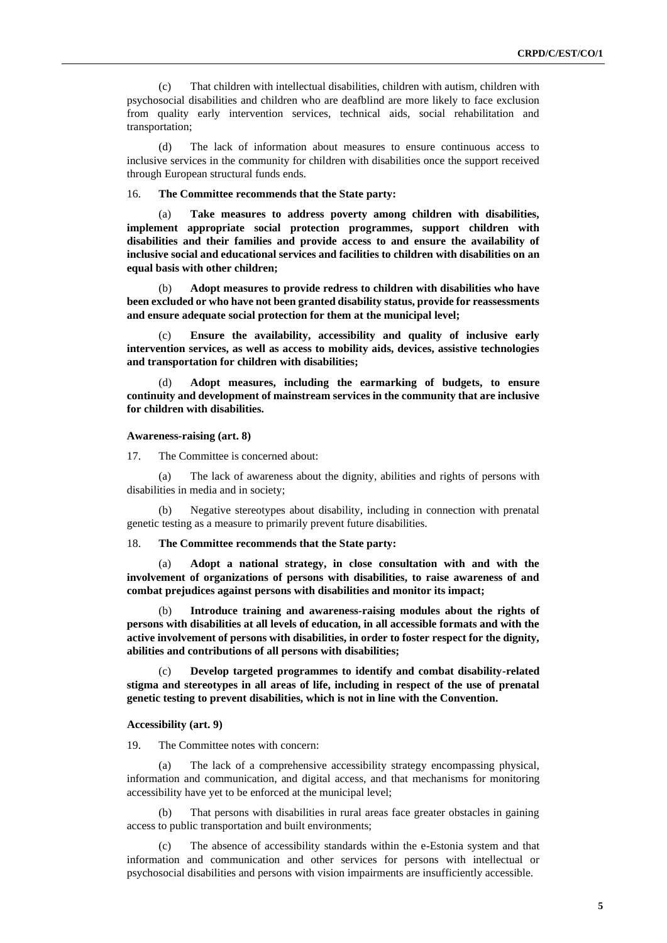(c) That children with intellectual disabilities, children with autism, children with psychosocial disabilities and children who are deafblind are more likely to face exclusion from quality early intervention services, technical aids, social rehabilitation and transportation;

(d) The lack of information about measures to ensure continuous access to inclusive services in the community for children with disabilities once the support received through European structural funds ends.

16. **The Committee recommends that the State party:** 

(a) **Take measures to address poverty among children with disabilities, implement appropriate social protection programmes, support children with disabilities and their families and provide access to and ensure the availability of inclusive social and educational services and facilities to children with disabilities on an equal basis with other children;** 

(b) **Adopt measures to provide redress to children with disabilities who have been excluded or who have not been granted disability status, provide for reassessments and ensure adequate social protection for them at the municipal level;**

(c) **Ensure the availability, accessibility and quality of inclusive early intervention services, as well as access to mobility aids, devices, assistive technologies and transportation for children with disabilities;** 

(d) **Adopt measures, including the earmarking of budgets, to ensure continuity and development of mainstream services in the community that are inclusive for children with disabilities.**

**Awareness-raising (art. 8)**

17. The Committee is concerned about:

(a) The lack of awareness about the dignity, abilities and rights of persons with disabilities in media and in society;

(b) Negative stereotypes about disability, including in connection with prenatal genetic testing as a measure to primarily prevent future disabilities.

## 18. **The Committee recommends that the State party:**

(a) **Adopt a national strategy, in close consultation with and with the involvement of organizations of persons with disabilities, to raise awareness of and combat prejudices against persons with disabilities and monitor its impact;** 

(b) **Introduce training and awareness-raising modules about the rights of persons with disabilities at all levels of education, in all accessible formats and with the active involvement of persons with disabilities, in order to foster respect for the dignity, abilities and contributions of all persons with disabilities;**

(c) **Develop targeted programmes to identify and combat disability-related stigma and stereotypes in all areas of life, including in respect of the use of prenatal genetic testing to prevent disabilities, which is not in line with the Convention.**

#### **Accessibility (art. 9)**

19. The Committee notes with concern:

(a) The lack of a comprehensive accessibility strategy encompassing physical, information and communication, and digital access, and that mechanisms for monitoring accessibility have yet to be enforced at the municipal level;

(b) That persons with disabilities in rural areas face greater obstacles in gaining access to public transportation and built environments;

(c) The absence of accessibility standards within the e-Estonia system and that information and communication and other services for persons with intellectual or psychosocial disabilities and persons with vision impairments are insufficiently accessible.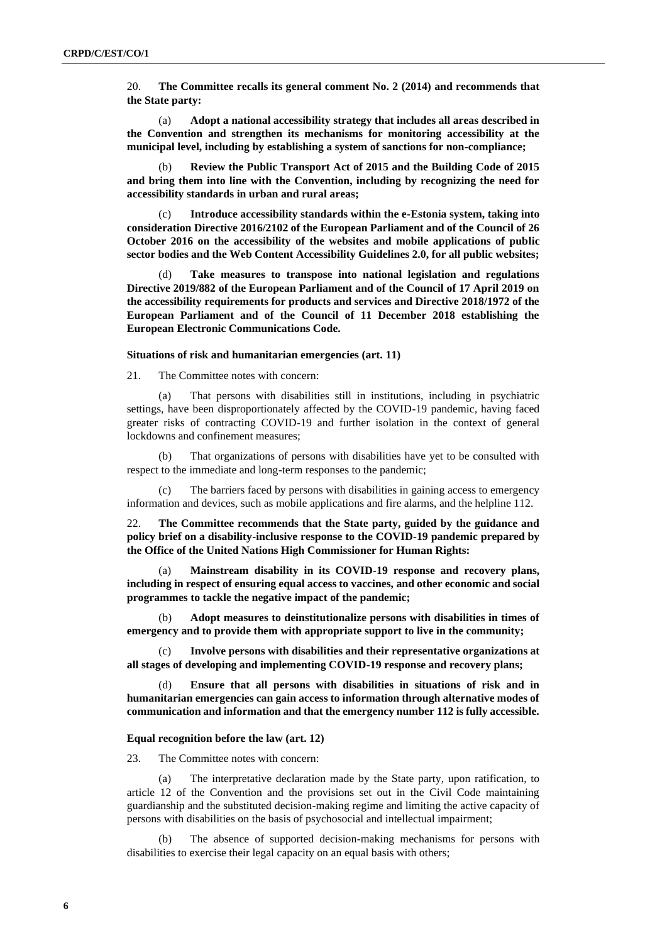20. **The Committee recalls its general comment No. 2 (2014) and recommends that the State party:**

(a) **Adopt a national accessibility strategy that includes all areas described in the Convention and strengthen its mechanisms for monitoring accessibility at the municipal level, including by establishing a system of sanctions for non-compliance;** 

(b) **Review the Public Transport Act of 2015 and the Building Code of 2015 and bring them into line with the Convention, including by recognizing the need for accessibility standards in urban and rural areas;**

(c) **Introduce accessibility standards within the e-Estonia system, taking into consideration Directive 2016/2102 of the European Parliament and of the Council of 26 October 2016 on the accessibility of the websites and mobile applications of public sector bodies and the Web Content Accessibility Guidelines 2.0, for all public websites;**

Take measures to transpose into national legislation and regulations **Directive 2019/882 of the European Parliament and of the Council of 17 April 2019 on the accessibility requirements for products and services and Directive 2018/1972 of the European Parliament and of the Council of 11 December 2018 establishing the European Electronic Communications Code.**

## **Situations of risk and humanitarian emergencies (art. 11)**

21. The Committee notes with concern:

(a) That persons with disabilities still in institutions, including in psychiatric settings, have been disproportionately affected by the COVID-19 pandemic, having faced greater risks of contracting COVID-19 and further isolation in the context of general lockdowns and confinement measures;

(b) That organizations of persons with disabilities have yet to be consulted with respect to the immediate and long-term responses to the pandemic;

(c) The barriers faced by persons with disabilities in gaining access to emergency information and devices, such as mobile applications and fire alarms, and the helpline 112.

22. **The Committee recommends that the State party, guided by the guidance and policy brief on a disability-inclusive response to the COVID-19 pandemic prepared by the Office of the United Nations High Commissioner for Human Rights:**

(a) **Mainstream disability in its COVID-19 response and recovery plans, including in respect of ensuring equal access to vaccines, and other economic and social programmes to tackle the negative impact of the pandemic;**

(b) **Adopt measures to deinstitutionalize persons with disabilities in times of emergency and to provide them with appropriate support to live in the community;**

(c) **Involve persons with disabilities and their representative organizations at all stages of developing and implementing COVID-19 response and recovery plans;**

(d) **Ensure that all persons with disabilities in situations of risk and in humanitarian emergencies can gain access to information through alternative modes of communication and information and that the emergency number 112 is fully accessible.** 

#### **Equal recognition before the law (art. 12)**

23. The Committee notes with concern:

(a) The interpretative declaration made by the State party, upon ratification, to article 12 of the Convention and the provisions set out in the Civil Code maintaining guardianship and the substituted decision-making regime and limiting the active capacity of persons with disabilities on the basis of psychosocial and intellectual impairment;

The absence of supported decision-making mechanisms for persons with disabilities to exercise their legal capacity on an equal basis with others;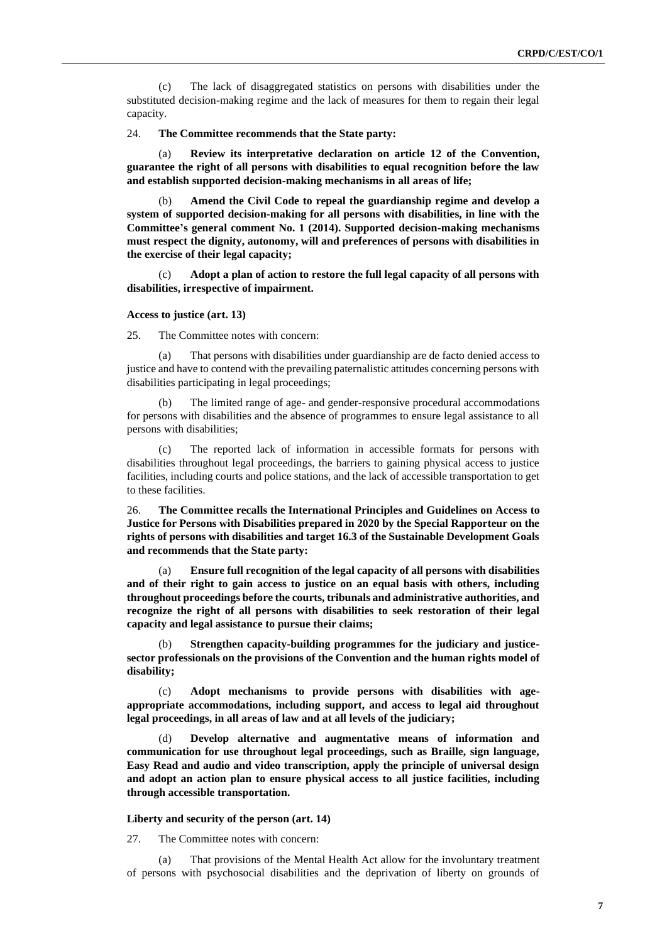(c) The lack of disaggregated statistics on persons with disabilities under the substituted decision-making regime and the lack of measures for them to regain their legal capacity.

#### 24. **The Committee recommends that the State party:**

(a) **Review its interpretative declaration on article 12 of the Convention, guarantee the right of all persons with disabilities to equal recognition before the law and establish supported decision-making mechanisms in all areas of life;**

(b) **Amend the Civil Code to repeal the guardianship regime and develop a system of supported decision-making for all persons with disabilities, in line with the Committee's general comment No. 1 (2014). Supported decision-making mechanisms must respect the dignity, autonomy, will and preferences of persons with disabilities in the exercise of their legal capacity;** 

(c) **Adopt a plan of action to restore the full legal capacity of all persons with disabilities, irrespective of impairment.**

## **Access to justice (art. 13)**

25. The Committee notes with concern:

(a) That persons with disabilities under guardianship are de facto denied access to justice and have to contend with the prevailing paternalistic attitudes concerning persons with disabilities participating in legal proceedings;

(b) The limited range of age- and gender-responsive procedural accommodations for persons with disabilities and the absence of programmes to ensure legal assistance to all persons with disabilities;

(c) The reported lack of information in accessible formats for persons with disabilities throughout legal proceedings, the barriers to gaining physical access to justice facilities, including courts and police stations, and the lack of accessible transportation to get to these facilities.

26. **The Committee recalls the International Principles and Guidelines on Access to Justice for Persons with Disabilities prepared in 2020 by the Special Rapporteur on the rights of persons with disabilities and target 16.3 of the Sustainable Development Goals and recommends that the State party:**

(a) **Ensure full recognition of the legal capacity of all persons with disabilities and of their right to gain access to justice on an equal basis with others, including throughout proceedings before the courts, tribunals and administrative authorities, and recognize the right of all persons with disabilities to seek restoration of their legal capacity and legal assistance to pursue their claims;** 

(b) **Strengthen capacity-building programmes for the judiciary and justicesector professionals on the provisions of the Convention and the human rights model of disability;**

(c) **Adopt mechanisms to provide persons with disabilities with ageappropriate accommodations, including support, and access to legal aid throughout legal proceedings, in all areas of law and at all levels of the judiciary;**

(d) **Develop alternative and augmentative means of information and communication for use throughout legal proceedings, such as Braille, sign language, Easy Read and audio and video transcription, apply the principle of universal design and adopt an action plan to ensure physical access to all justice facilities, including through accessible transportation.**

## **Liberty and security of the person (art. 14)**

27. The Committee notes with concern:

(a) That provisions of the Mental Health Act allow for the involuntary treatment of persons with psychosocial disabilities and the deprivation of liberty on grounds of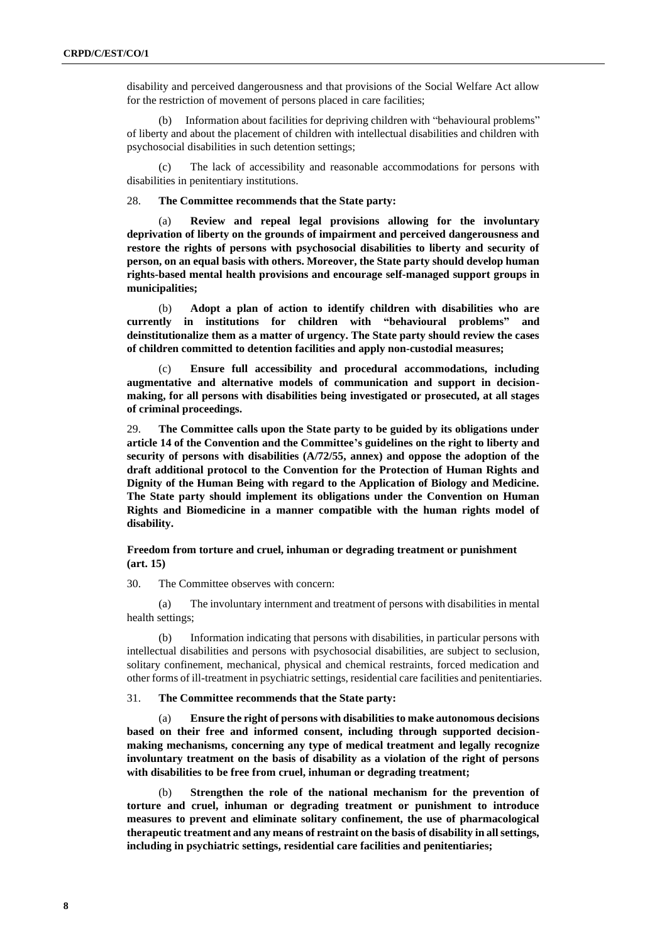disability and perceived dangerousness and that provisions of the Social Welfare Act allow for the restriction of movement of persons placed in care facilities;

(b) Information about facilities for depriving children with "behavioural problems" of liberty and about the placement of children with intellectual disabilities and children with psychosocial disabilities in such detention settings;

(c) The lack of accessibility and reasonable accommodations for persons with disabilities in penitentiary institutions.

28. **The Committee recommends that the State party:**

(a) **Review and repeal legal provisions allowing for the involuntary deprivation of liberty on the grounds of impairment and perceived dangerousness and restore the rights of persons with psychosocial disabilities to liberty and security of person, on an equal basis with others. Moreover, the State party should develop human rights-based mental health provisions and encourage self-managed support groups in municipalities;**

(b) **Adopt a plan of action to identify children with disabilities who are currently in institutions for children with "behavioural problems" and deinstitutionalize them as a matter of urgency. The State party should review the cases of children committed to detention facilities and apply non-custodial measures;**

(c) **Ensure full accessibility and procedural accommodations, including augmentative and alternative models of communication and support in decisionmaking, for all persons with disabilities being investigated or prosecuted, at all stages of criminal proceedings.**

29. **The Committee calls upon the State party to be guided by its obligations under article 14 of the Convention and the Committee's guidelines on the right to liberty and security of persons with disabilities (A/72/55, annex) and oppose the adoption of the draft additional protocol to the Convention for the Protection of Human Rights and Dignity of the Human Being with regard to the Application of Biology and Medicine. The State party should implement its obligations under the Convention on Human Rights and Biomedicine in a manner compatible with the human rights model of disability.**

**Freedom from torture and cruel, inhuman or degrading treatment or punishment (art. 15)**

30. The Committee observes with concern:

(a) The involuntary internment and treatment of persons with disabilities in mental health settings;

(b) Information indicating that persons with disabilities, in particular persons with intellectual disabilities and persons with psychosocial disabilities, are subject to seclusion, solitary confinement, mechanical, physical and chemical restraints, forced medication and other forms of ill-treatment in psychiatric settings, residential care facilities and penitentiaries.

31. **The Committee recommends that the State party:**

(a) **Ensure the right of persons with disabilities to make autonomous decisions based on their free and informed consent, including through supported decisionmaking mechanisms, concerning any type of medical treatment and legally recognize involuntary treatment on the basis of disability as a violation of the right of persons with disabilities to be free from cruel, inhuman or degrading treatment;**

(b) **Strengthen the role of the national mechanism for the prevention of torture and cruel, inhuman or degrading treatment or punishment to introduce measures to prevent and eliminate solitary confinement, the use of pharmacological therapeutic treatment and any means of restraint on the basis of disability in all settings, including in psychiatric settings, residential care facilities and penitentiaries;**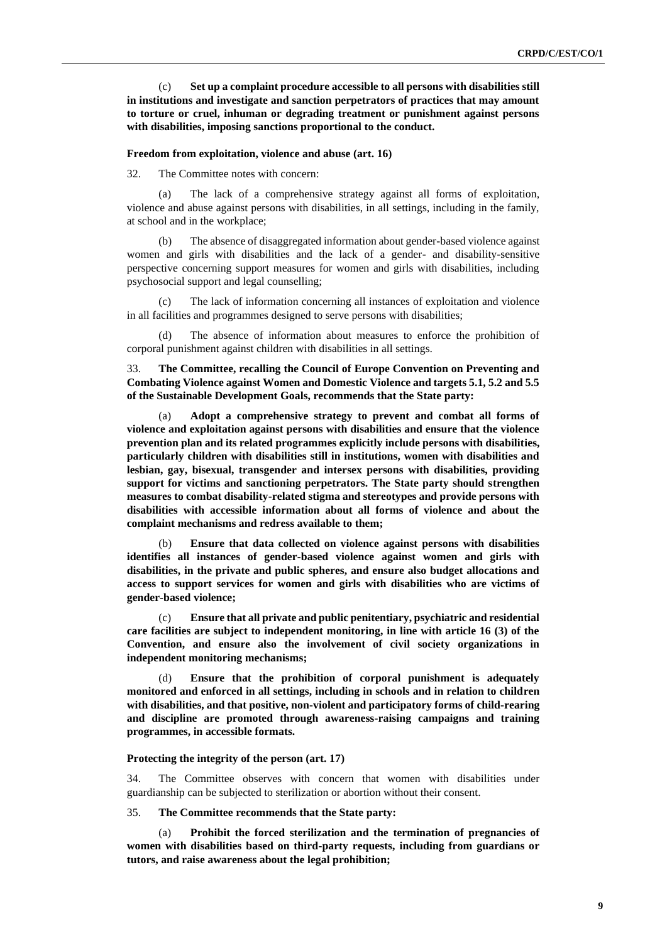(c) **Set up a complaint procedure accessible to all persons with disabilities still in institutions and investigate and sanction perpetrators of practices that may amount to torture or cruel, inhuman or degrading treatment or punishment against persons with disabilities, imposing sanctions proportional to the conduct.**

#### **Freedom from exploitation, violence and abuse (art. 16)**

32. The Committee notes with concern:

(a) The lack of a comprehensive strategy against all forms of exploitation, violence and abuse against persons with disabilities, in all settings, including in the family, at school and in the workplace;

(b) The absence of disaggregated information about gender-based violence against women and girls with disabilities and the lack of a gender- and disability-sensitive perspective concerning support measures for women and girls with disabilities, including psychosocial support and legal counselling;

(c) The lack of information concerning all instances of exploitation and violence in all facilities and programmes designed to serve persons with disabilities;

(d) The absence of information about measures to enforce the prohibition of corporal punishment against children with disabilities in all settings.

33. **The Committee, recalling the Council of Europe Convention on Preventing and Combating Violence against Women and Domestic Violence and targets 5.1, 5.2 and 5.5 of the Sustainable Development Goals, recommends that the State party:**

(a) **Adopt a comprehensive strategy to prevent and combat all forms of violence and exploitation against persons with disabilities and ensure that the violence prevention plan and its related programmes explicitly include persons with disabilities, particularly children with disabilities still in institutions, women with disabilities and lesbian, gay, bisexual, transgender and intersex persons with disabilities, providing support for victims and sanctioning perpetrators. The State party should strengthen measures to combat disability-related stigma and stereotypes and provide persons with disabilities with accessible information about all forms of violence and about the complaint mechanisms and redress available to them;**

(b) **Ensure that data collected on violence against persons with disabilities identifies all instances of gender-based violence against women and girls with disabilities, in the private and public spheres, and ensure also budget allocations and access to support services for women and girls with disabilities who are victims of gender-based violence;** 

(c) **Ensure that all private and public penitentiary, psychiatric and residential care facilities are subject to independent monitoring, in line with article 16 (3) of the Convention, and ensure also the involvement of civil society organizations in independent monitoring mechanisms;**

(d) **Ensure that the prohibition of corporal punishment is adequately monitored and enforced in all settings, including in schools and in relation to children with disabilities, and that positive, non-violent and participatory forms of child-rearing and discipline are promoted through awareness-raising campaigns and training programmes, in accessible formats.**

## **Protecting the integrity of the person (art. 17)**

34. The Committee observes with concern that women with disabilities under guardianship can be subjected to sterilization or abortion without their consent.

35. **The Committee recommends that the State party:**

(a) **Prohibit the forced sterilization and the termination of pregnancies of women with disabilities based on third-party requests, including from guardians or tutors, and raise awareness about the legal prohibition;**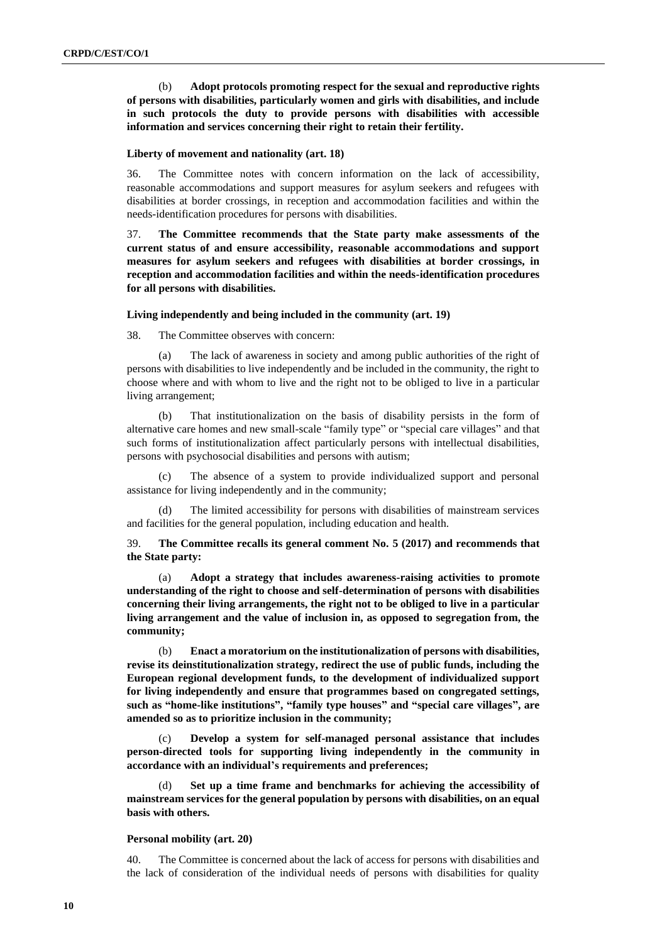(b) **Adopt protocols promoting respect for the sexual and reproductive rights of persons with disabilities, particularly women and girls with disabilities, and include in such protocols the duty to provide persons with disabilities with accessible information and services concerning their right to retain their fertility.**

## **Liberty of movement and nationality (art. 18)**

36. The Committee notes with concern information on the lack of accessibility, reasonable accommodations and support measures for asylum seekers and refugees with disabilities at border crossings, in reception and accommodation facilities and within the needs-identification procedures for persons with disabilities.

37. **The Committee recommends that the State party make assessments of the current status of and ensure accessibility, reasonable accommodations and support measures for asylum seekers and refugees with disabilities at border crossings, in reception and accommodation facilities and within the needs-identification procedures for all persons with disabilities.**

## **Living independently and being included in the community (art. 19)**

38. The Committee observes with concern:

(a) The lack of awareness in society and among public authorities of the right of persons with disabilities to live independently and be included in the community, the right to choose where and with whom to live and the right not to be obliged to live in a particular living arrangement;

(b) That institutionalization on the basis of disability persists in the form of alternative care homes and new small-scale "family type" or "special care villages" and that such forms of institutionalization affect particularly persons with intellectual disabilities, persons with psychosocial disabilities and persons with autism;

(c) The absence of a system to provide individualized support and personal assistance for living independently and in the community;

(d) The limited accessibility for persons with disabilities of mainstream services and facilities for the general population, including education and health.

39. **The Committee recalls its general comment No. 5 (2017) and recommends that the State party:**

(a) **Adopt a strategy that includes awareness-raising activities to promote understanding of the right to choose and self-determination of persons with disabilities concerning their living arrangements, the right not to be obliged to live in a particular living arrangement and the value of inclusion in, as opposed to segregation from, the community;**

(b) **Enact a moratorium on the institutionalization of persons with disabilities, revise its deinstitutionalization strategy, redirect the use of public funds, including the European regional development funds, to the development of individualized support for living independently and ensure that programmes based on congregated settings, such as "home-like institutions", "family type houses" and "special care villages", are amended so as to prioritize inclusion in the community;**

(c) **Develop a system for self-managed personal assistance that includes person-directed tools for supporting living independently in the community in accordance with an individual's requirements and preferences;**

Set up a time frame and benchmarks for achieving the accessibility of **mainstream services for the general population by persons with disabilities, on an equal basis with others.**

## **Personal mobility (art. 20)**

40. The Committee is concerned about the lack of access for persons with disabilities and the lack of consideration of the individual needs of persons with disabilities for quality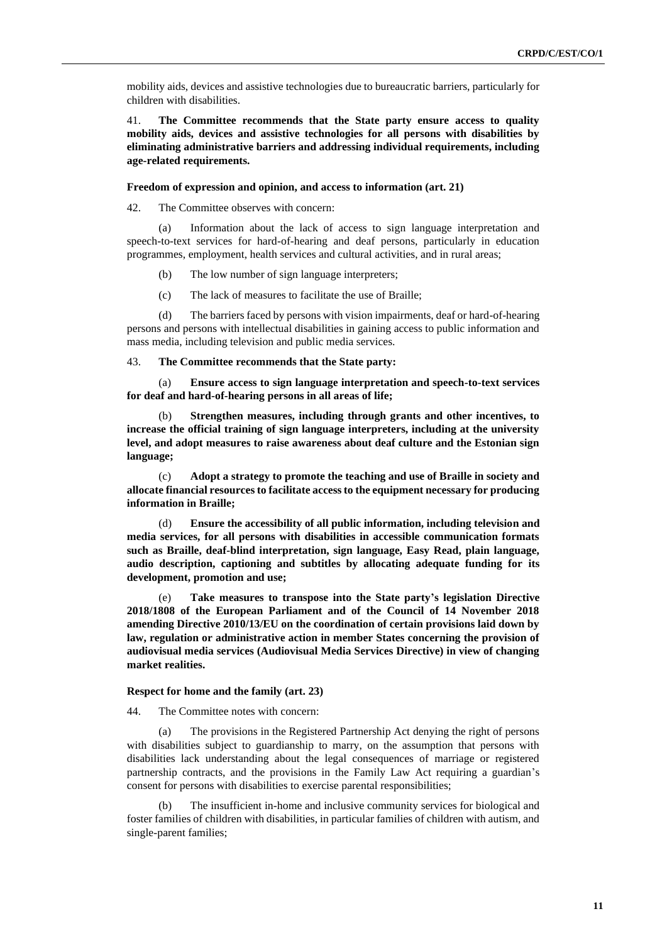mobility aids, devices and assistive technologies due to bureaucratic barriers, particularly for children with disabilities.

41. **The Committee recommends that the State party ensure access to quality mobility aids, devices and assistive technologies for all persons with disabilities by eliminating administrative barriers and addressing individual requirements, including age-related requirements.**

#### **Freedom of expression and opinion, and access to information (art. 21)**

42. The Committee observes with concern:

(a) Information about the lack of access to sign language interpretation and speech-to-text services for hard-of-hearing and deaf persons, particularly in education programmes, employment, health services and cultural activities, and in rural areas;

- (b) The low number of sign language interpreters;
- (c) The lack of measures to facilitate the use of Braille;

(d) The barriers faced by persons with vision impairments, deaf or hard-of-hearing persons and persons with intellectual disabilities in gaining access to public information and mass media, including television and public media services.

## 43. **The Committee recommends that the State party:**

(a) **Ensure access to sign language interpretation and speech-to-text services for deaf and hard-of-hearing persons in all areas of life;** 

(b) **Strengthen measures, including through grants and other incentives, to increase the official training of sign language interpreters, including at the university level, and adopt measures to raise awareness about deaf culture and the Estonian sign language;** 

(c) **Adopt a strategy to promote the teaching and use of Braille in society and allocate financial resources to facilitate access to the equipment necessary for producing information in Braille;** 

(d) **Ensure the accessibility of all public information, including television and media services, for all persons with disabilities in accessible communication formats such as Braille, deaf-blind interpretation, sign language, Easy Read, plain language, audio description, captioning and subtitles by allocating adequate funding for its development, promotion and use;**

(e) **Take measures to transpose into the State party's legislation Directive 2018/1808 of the European Parliament and of the Council of 14 November 2018 amending Directive 2010/13/EU on the coordination of certain provisions laid down by law, regulation or administrative action in member States concerning the provision of audiovisual media services (Audiovisual Media Services Directive) in view of changing market realities.**

## **Respect for home and the family (art. 23)**

44. The Committee notes with concern:

(a) The provisions in the Registered Partnership Act denying the right of persons with disabilities subject to guardianship to marry, on the assumption that persons with disabilities lack understanding about the legal consequences of marriage or registered partnership contracts, and the provisions in the Family Law Act requiring a guardian's consent for persons with disabilities to exercise parental responsibilities;

(b) The insufficient in-home and inclusive community services for biological and foster families of children with disabilities, in particular families of children with autism, and single-parent families;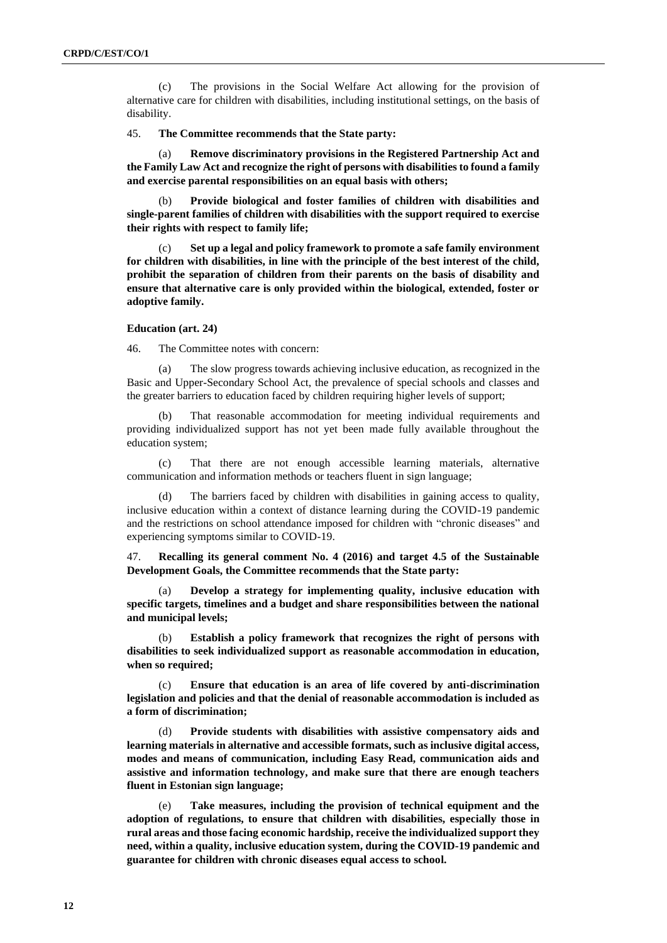(c) The provisions in the Social Welfare Act allowing for the provision of alternative care for children with disabilities, including institutional settings, on the basis of disability.

## 45. **The Committee recommends that the State party:**

(a) **Remove discriminatory provisions in the Registered Partnership Act and the Family Law Act and recognize the right of persons with disabilities to found a family and exercise parental responsibilities on an equal basis with others;** 

(b) **Provide biological and foster families of children with disabilities and single-parent families of children with disabilities with the support required to exercise their rights with respect to family life;** 

Set up a legal and policy framework to promote a safe family environment **for children with disabilities, in line with the principle of the best interest of the child, prohibit the separation of children from their parents on the basis of disability and ensure that alternative care is only provided within the biological, extended, foster or adoptive family.** 

#### **Education (art. 24)**

46. The Committee notes with concern:

(a) The slow progress towards achieving inclusive education, as recognized in the Basic and Upper-Secondary School Act, the prevalence of special schools and classes and the greater barriers to education faced by children requiring higher levels of support;

(b) That reasonable accommodation for meeting individual requirements and providing individualized support has not yet been made fully available throughout the education system;

(c) That there are not enough accessible learning materials, alternative communication and information methods or teachers fluent in sign language;

The barriers faced by children with disabilities in gaining access to quality, inclusive education within a context of distance learning during the COVID-19 pandemic and the restrictions on school attendance imposed for children with "chronic diseases" and experiencing symptoms similar to COVID-19.

47. **Recalling its general comment No. 4 (2016) and target 4.5 of the Sustainable Development Goals, the Committee recommends that the State party:**

(a) **Develop a strategy for implementing quality, inclusive education with specific targets, timelines and a budget and share responsibilities between the national and municipal levels;**

(b) **Establish a policy framework that recognizes the right of persons with disabilities to seek individualized support as reasonable accommodation in education, when so required;**

(c) **Ensure that education is an area of life covered by anti-discrimination legislation and policies and that the denial of reasonable accommodation is included as a form of discrimination;**

(d) **Provide students with disabilities with assistive compensatory aids and learning materials in alternative and accessible formats, such as inclusive digital access, modes and means of communication, including Easy Read, communication aids and assistive and information technology, and make sure that there are enough teachers fluent in Estonian sign language;**

(e) **Take measures, including the provision of technical equipment and the adoption of regulations, to ensure that children with disabilities, especially those in rural areas and those facing economic hardship, receive the individualized support they need, within a quality, inclusive education system, during the COVID-19 pandemic and guarantee for children with chronic diseases equal access to school.**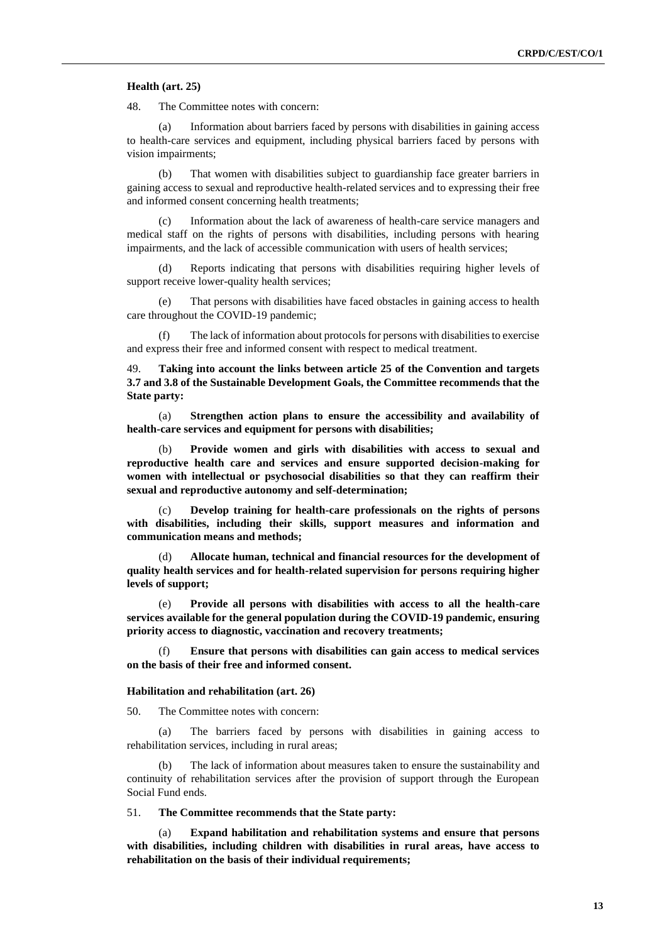## **Health (art. 25)**

48. The Committee notes with concern:

(a) Information about barriers faced by persons with disabilities in gaining access to health-care services and equipment, including physical barriers faced by persons with vision impairments;

(b) That women with disabilities subject to guardianship face greater barriers in gaining access to sexual and reproductive health-related services and to expressing their free and informed consent concerning health treatments;

(c) Information about the lack of awareness of health-care service managers and medical staff on the rights of persons with disabilities, including persons with hearing impairments, and the lack of accessible communication with users of health services;

(d) Reports indicating that persons with disabilities requiring higher levels of support receive lower-quality health services;

(e) That persons with disabilities have faced obstacles in gaining access to health care throughout the COVID-19 pandemic;

(f) The lack of information about protocols for persons with disabilities to exercise and express their free and informed consent with respect to medical treatment.

49. **Taking into account the links between article 25 of the Convention and targets 3.7 and 3.8 of the Sustainable Development Goals, the Committee recommends that the State party:**

(a) **Strengthen action plans to ensure the accessibility and availability of health-care services and equipment for persons with disabilities;**

(b) **Provide women and girls with disabilities with access to sexual and reproductive health care and services and ensure supported decision-making for women with intellectual or psychosocial disabilities so that they can reaffirm their sexual and reproductive autonomy and self-determination;** 

(c) **Develop training for health-care professionals on the rights of persons with disabilities, including their skills, support measures and information and communication means and methods;**

(d) **Allocate human, technical and financial resources for the development of quality health services and for health-related supervision for persons requiring higher levels of support;** 

(e) **Provide all persons with disabilities with access to all the health-care services available for the general population during the COVID-19 pandemic, ensuring priority access to diagnostic, vaccination and recovery treatments;**

(f) **Ensure that persons with disabilities can gain access to medical services on the basis of their free and informed consent.**

## **Habilitation and rehabilitation (art. 26)**

50. The Committee notes with concern:

(a) The barriers faced by persons with disabilities in gaining access to rehabilitation services, including in rural areas;

(b) The lack of information about measures taken to ensure the sustainability and continuity of rehabilitation services after the provision of support through the European Social Fund ends.

51. **The Committee recommends that the State party:**

(a) **Expand habilitation and rehabilitation systems and ensure that persons with disabilities, including children with disabilities in rural areas, have access to rehabilitation on the basis of their individual requirements;**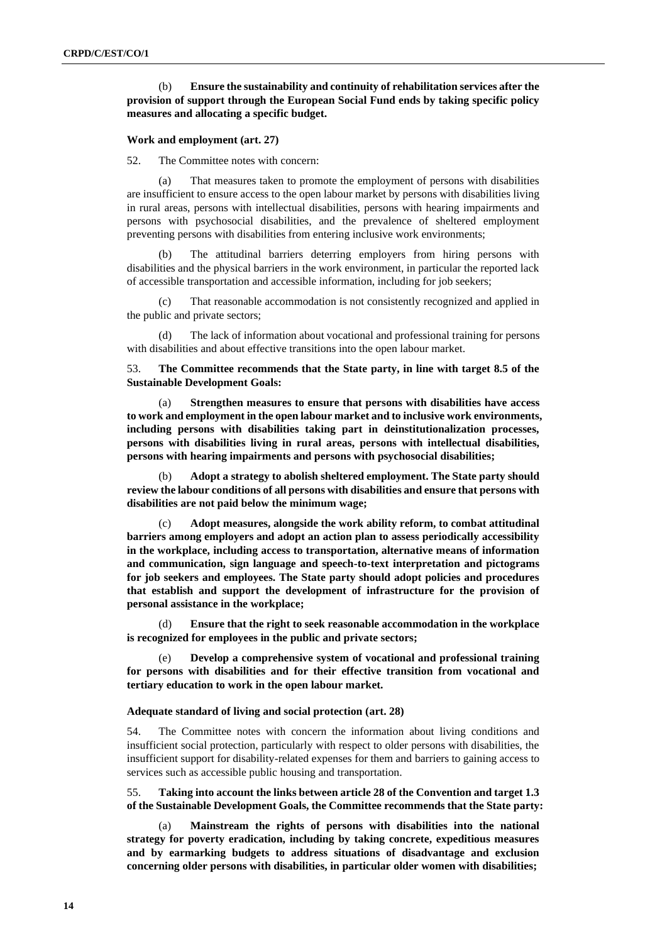## (b) **Ensure the sustainability and continuity of rehabilitation services after the provision of support through the European Social Fund ends by taking specific policy measures and allocating a specific budget.**

## **Work and employment (art. 27)**

52. The Committee notes with concern:

(a) That measures taken to promote the employment of persons with disabilities are insufficient to ensure access to the open labour market by persons with disabilities living in rural areas, persons with intellectual disabilities, persons with hearing impairments and persons with psychosocial disabilities, and the prevalence of sheltered employment preventing persons with disabilities from entering inclusive work environments;

(b) The attitudinal barriers deterring employers from hiring persons with disabilities and the physical barriers in the work environment, in particular the reported lack of accessible transportation and accessible information, including for job seekers;

(c) That reasonable accommodation is not consistently recognized and applied in the public and private sectors;

(d) The lack of information about vocational and professional training for persons with disabilities and about effective transitions into the open labour market.

53. **The Committee recommends that the State party, in line with target 8.5 of the Sustainable Development Goals:**

(a) **Strengthen measures to ensure that persons with disabilities have access to work and employment in the open labour market and to inclusive work environments, including persons with disabilities taking part in deinstitutionalization processes, persons with disabilities living in rural areas, persons with intellectual disabilities, persons with hearing impairments and persons with psychosocial disabilities;**

(b) **Adopt a strategy to abolish sheltered employment. The State party should review the labour conditions of all persons with disabilities and ensure that persons with disabilities are not paid below the minimum wage;**

(c) **Adopt measures, alongside the work ability reform, to combat attitudinal barriers among employers and adopt an action plan to assess periodically accessibility in the workplace, including access to transportation, alternative means of information and communication, sign language and speech-to-text interpretation and pictograms for job seekers and employees. The State party should adopt policies and procedures that establish and support the development of infrastructure for the provision of personal assistance in the workplace;**

(d) **Ensure that the right to seek reasonable accommodation in the workplace is recognized for employees in the public and private sectors;** 

(e) **Develop a comprehensive system of vocational and professional training for persons with disabilities and for their effective transition from vocational and tertiary education to work in the open labour market.**

## **Adequate standard of living and social protection (art. 28)**

54. The Committee notes with concern the information about living conditions and insufficient social protection, particularly with respect to older persons with disabilities, the insufficient support for disability-related expenses for them and barriers to gaining access to services such as accessible public housing and transportation.

55. **Taking into account the links between article 28 of the Convention and target 1.3 of the Sustainable Development Goals, the Committee recommends that the State party:**

(a) **Mainstream the rights of persons with disabilities into the national strategy for poverty eradication, including by taking concrete, expeditious measures and by earmarking budgets to address situations of disadvantage and exclusion concerning older persons with disabilities, in particular older women with disabilities;**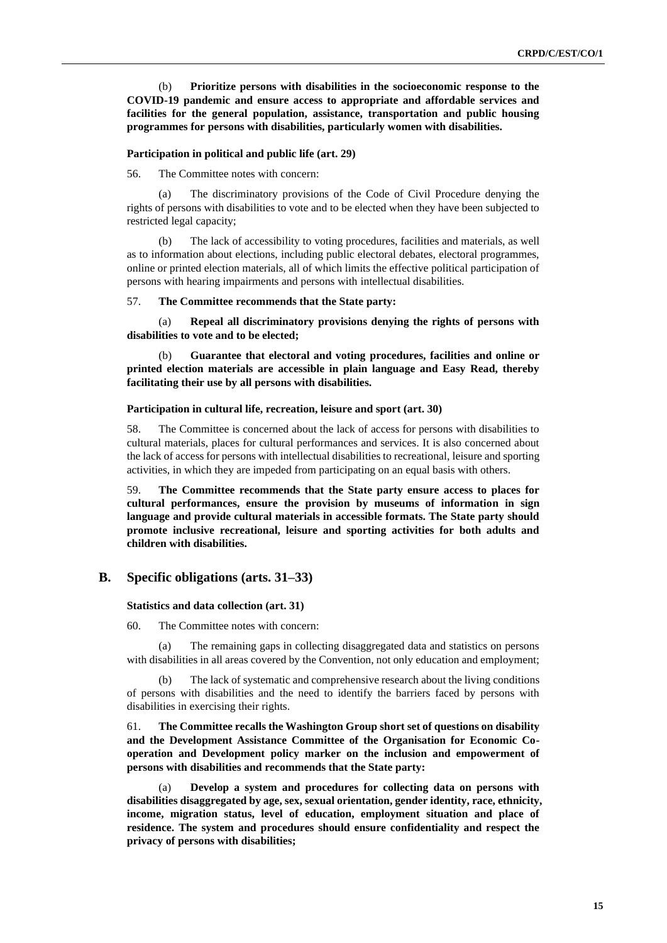(b) **Prioritize persons with disabilities in the socioeconomic response to the COVID-19 pandemic and ensure access to appropriate and affordable services and facilities for the general population, assistance, transportation and public housing programmes for persons with disabilities, particularly women with disabilities.**

#### **Participation in political and public life (art. 29)**

56. The Committee notes with concern:

The discriminatory provisions of the Code of Civil Procedure denying the rights of persons with disabilities to vote and to be elected when they have been subjected to restricted legal capacity;

(b) The lack of accessibility to voting procedures, facilities and materials, as well as to information about elections, including public electoral debates, electoral programmes, online or printed election materials, all of which limits the effective political participation of persons with hearing impairments and persons with intellectual disabilities.

## 57. **The Committee recommends that the State party:**

(a) **Repeal all discriminatory provisions denying the rights of persons with disabilities to vote and to be elected;**

(b) **Guarantee that electoral and voting procedures, facilities and online or printed election materials are accessible in plain language and Easy Read, thereby facilitating their use by all persons with disabilities.**

### **Participation in cultural life, recreation, leisure and sport (art. 30)**

58. The Committee is concerned about the lack of access for persons with disabilities to cultural materials, places for cultural performances and services. It is also concerned about the lack of access for persons with intellectual disabilities to recreational, leisure and sporting activities, in which they are impeded from participating on an equal basis with others.

59. **The Committee recommends that the State party ensure access to places for cultural performances, ensure the provision by museums of information in sign language and provide cultural materials in accessible formats. The State party should promote inclusive recreational, leisure and sporting activities for both adults and children with disabilities.**

## **B. Specific obligations (arts. 31–33)**

#### **Statistics and data collection (art. 31)**

60. The Committee notes with concern:

(a) The remaining gaps in collecting disaggregated data and statistics on persons with disabilities in all areas covered by the Convention, not only education and employment;

(b) The lack of systematic and comprehensive research about the living conditions of persons with disabilities and the need to identify the barriers faced by persons with disabilities in exercising their rights.

61. **The Committee recalls the Washington Group short set of questions on disability and the Development Assistance Committee of the Organisation for Economic Cooperation and Development policy marker on the inclusion and empowerment of persons with disabilities and recommends that the State party:**

(a) **Develop a system and procedures for collecting data on persons with disabilities disaggregated by age, sex, sexual orientation, gender identity, race, ethnicity, income, migration status, level of education, employment situation and place of residence. The system and procedures should ensure confidentiality and respect the privacy of persons with disabilities;**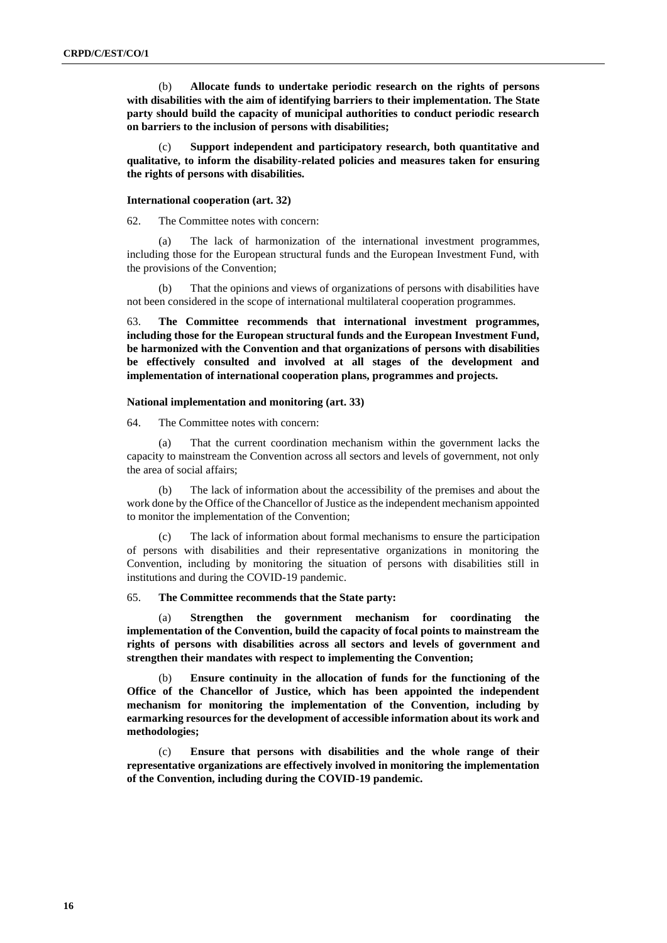(b) **Allocate funds to undertake periodic research on the rights of persons with disabilities with the aim of identifying barriers to their implementation. The State party should build the capacity of municipal authorities to conduct periodic research on barriers to the inclusion of persons with disabilities;**

Support independent and participatory research, both quantitative and **qualitative, to inform the disability-related policies and measures taken for ensuring the rights of persons with disabilities.**

#### **International cooperation (art. 32)**

62. The Committee notes with concern:

(a) The lack of harmonization of the international investment programmes, including those for the European structural funds and the European Investment Fund, with the provisions of the Convention;

(b) That the opinions and views of organizations of persons with disabilities have not been considered in the scope of international multilateral cooperation programmes.

63. **The Committee recommends that international investment programmes, including those for the European structural funds and the European Investment Fund, be harmonized with the Convention and that organizations of persons with disabilities be effectively consulted and involved at all stages of the development and implementation of international cooperation plans, programmes and projects.**

## **National implementation and monitoring (art. 33)**

64. The Committee notes with concern:

(a) That the current coordination mechanism within the government lacks the capacity to mainstream the Convention across all sectors and levels of government, not only the area of social affairs;

(b) The lack of information about the accessibility of the premises and about the work done by the Office of the Chancellor of Justice as the independent mechanism appointed to monitor the implementation of the Convention;

(c) The lack of information about formal mechanisms to ensure the participation of persons with disabilities and their representative organizations in monitoring the Convention, including by monitoring the situation of persons with disabilities still in institutions and during the COVID-19 pandemic.

## 65. **The Committee recommends that the State party:**

(a) **Strengthen the government mechanism for coordinating the implementation of the Convention, build the capacity of focal points to mainstream the rights of persons with disabilities across all sectors and levels of government and strengthen their mandates with respect to implementing the Convention;**

(b) **Ensure continuity in the allocation of funds for the functioning of the Office of the Chancellor of Justice, which has been appointed the independent mechanism for monitoring the implementation of the Convention, including by earmarking resources for the development of accessible information about its work and methodologies;**

(c) **Ensure that persons with disabilities and the whole range of their representative organizations are effectively involved in monitoring the implementation of the Convention, including during the COVID-19 pandemic.**